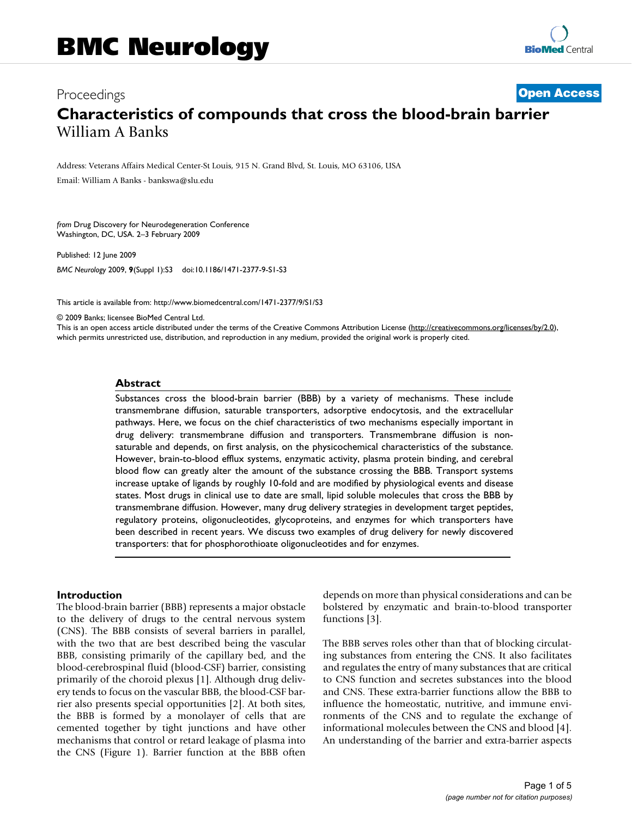# Proceedings **[Open Access](http://www.biomedcentral.com/info/about/charter/) Characteristics of compounds that cross the blood-brain barrier** William A Banks

Address: Veterans Affairs Medical Center-St Louis, 915 N. Grand Blvd, St. Louis, MO 63106, USA

Email: William A Banks - bankswa@slu.edu

*from* Drug Discovery for Neurodegeneration Conference Washington, DC, USA. 2–3 February 2009

Published: 12 June 2009

*BMC Neurology* 2009, **9**(Suppl 1):S3 doi:10.1186/1471-2377-9-S1-S3

[This article is available from: http://www.biomedcentral.com/1471-2377/9/S1/S3](http://www.biomedcentral.com/1471-2377/9/S1/S3)

© 2009 Banks; licensee BioMed Central Ltd.

This is an open access article distributed under the terms of the Creative Commons Attribution License [\(http://creativecommons.org/licenses/by/2.0\)](http://creativecommons.org/licenses/by/2.0), which permits unrestricted use, distribution, and reproduction in any medium, provided the original work is properly cited.

### **Abstract**

Substances cross the blood-brain barrier (BBB) by a variety of mechanisms. These include transmembrane diffusion, saturable transporters, adsorptive endocytosis, and the extracellular pathways. Here, we focus on the chief characteristics of two mechanisms especially important in drug delivery: transmembrane diffusion and transporters. Transmembrane diffusion is nonsaturable and depends, on first analysis, on the physicochemical characteristics of the substance. However, brain-to-blood efflux systems, enzymatic activity, plasma protein binding, and cerebral blood flow can greatly alter the amount of the substance crossing the BBB. Transport systems increase uptake of ligands by roughly 10-fold and are modified by physiological events and disease states. Most drugs in clinical use to date are small, lipid soluble molecules that cross the BBB by transmembrane diffusion. However, many drug delivery strategies in development target peptides, regulatory proteins, oligonucleotides, glycoproteins, and enzymes for which transporters have been described in recent years. We discuss two examples of drug delivery for newly discovered transporters: that for phosphorothioate oligonucleotides and for enzymes.

#### **Introduction**

The blood-brain barrier (BBB) represents a major obstacle to the delivery of drugs to the central nervous system (CNS). The BBB consists of several barriers in parallel, with the two that are best described being the vascular BBB, consisting primarily of the capillary bed, and the blood-cerebrospinal fluid (blood-CSF) barrier, consisting primarily of the choroid plexus [1]. Although drug delivery tends to focus on the vascular BBB, the blood-CSF barrier also presents special opportunities [2]. At both sites, the BBB is formed by a monolayer of cells that are cemented together by tight junctions and have other mechanisms that control or retard leakage of plasma into the CNS (Figure 1). Barrier function at the BBB often

depends on more than physical considerations and can be bolstered by enzymatic and brain-to-blood transporter functions [3].

The BBB serves roles other than that of blocking circulating substances from entering the CNS. It also facilitates and regulates the entry of many substances that are critical to CNS function and secretes substances into the blood and CNS. These extra-barrier functions allow the BBB to influence the homeostatic, nutritive, and immune environments of the CNS and to regulate the exchange of informational molecules between the CNS and blood [4]. An understanding of the barrier and extra-barrier aspects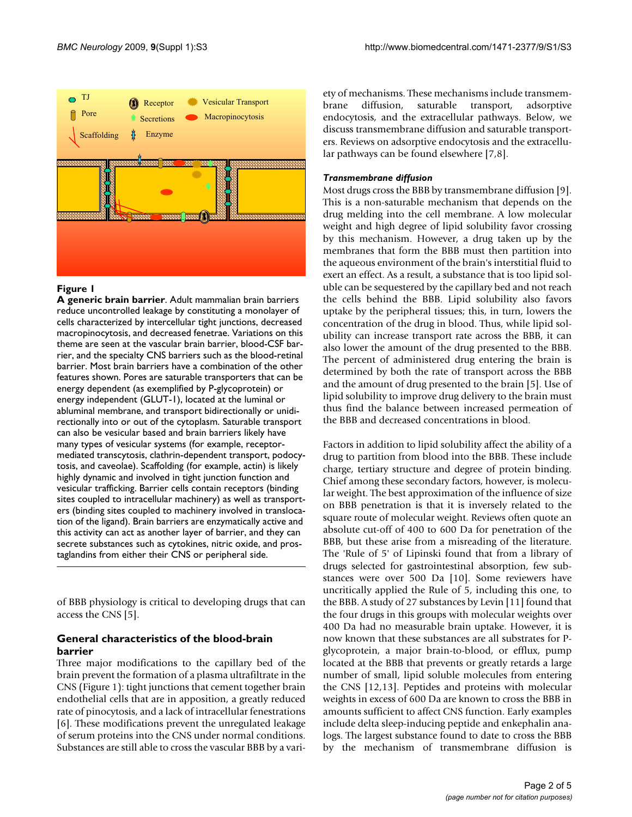

## **Figure 1**

**A generic brain barrier**. Adult mammalian brain barriers reduce uncontrolled leakage by constituting a monolayer of cells characterized by intercellular tight junctions, decreased macropinocytosis, and decreased fenetrae. Variations on this theme are seen at the vascular brain barrier, blood-CSF barrier, and the specialty CNS barriers such as the blood-retinal barrier. Most brain barriers have a combination of the other features shown. Pores are saturable transporters that can be energy dependent (as exemplified by P-glycoprotein) or energy independent (GLUT-1), located at the luminal or abluminal membrane, and transport bidirectionally or unidirectionally into or out of the cytoplasm. Saturable transport can also be vesicular based and brain barriers likely have many types of vesicular systems (for example, receptormediated transcytosis, clathrin-dependent transport, podocytosis, and caveolae). Scaffolding (for example, actin) is likely highly dynamic and involved in tight junction function and vesicular trafficking. Barrier cells contain receptors (binding sites coupled to intracellular machinery) as well as transporters (binding sites coupled to machinery involved in translocation of the ligand). Brain barriers are enzymatically active and this activity can act as another layer of barrier, and they can secrete substances such as cytokines, nitric oxide, and prostaglandins from either their CNS or peripheral side.

of BBB physiology is critical to developing drugs that can access the CNS [5].

## **General characteristics of the blood-brain barrier**

Three major modifications to the capillary bed of the brain prevent the formation of a plasma ultrafiltrate in the CNS (Figure 1): tight junctions that cement together brain endothelial cells that are in apposition, a greatly reduced rate of pinocytosis, and a lack of intracellular fenestrations [6]. These modifications prevent the unregulated leakage of serum proteins into the CNS under normal conditions. Substances are still able to cross the vascular BBB by a variety of mechanisms. These mechanisms include transmembrane diffusion, saturable transport, adsorptive endocytosis, and the extracellular pathways. Below, we discuss transmembrane diffusion and saturable transporters. Reviews on adsorptive endocytosis and the extracellular pathways can be found elsewhere [7,8].

## *Transmembrane diffusion*

Most drugs cross the BBB by transmembrane diffusion [9]. This is a non-saturable mechanism that depends on the drug melding into the cell membrane. A low molecular weight and high degree of lipid solubility favor crossing by this mechanism. However, a drug taken up by the membranes that form the BBB must then partition into the aqueous environment of the brain's interstitial fluid to exert an effect. As a result, a substance that is too lipid soluble can be sequestered by the capillary bed and not reach the cells behind the BBB. Lipid solubility also favors uptake by the peripheral tissues; this, in turn, lowers the concentration of the drug in blood. Thus, while lipid solubility can increase transport rate across the BBB, it can also lower the amount of the drug presented to the BBB. The percent of administered drug entering the brain is determined by both the rate of transport across the BBB and the amount of drug presented to the brain [5]. Use of lipid solubility to improve drug delivery to the brain must thus find the balance between increased permeation of the BBB and decreased concentrations in blood.

Factors in addition to lipid solubility affect the ability of a drug to partition from blood into the BBB. These include charge, tertiary structure and degree of protein binding. Chief among these secondary factors, however, is molecular weight. The best approximation of the influence of size on BBB penetration is that it is inversely related to the square route of molecular weight. Reviews often quote an absolute cut-off of 400 to 600 Da for penetration of the BBB, but these arise from a misreading of the literature. The 'Rule of 5' of Lipinski found that from a library of drugs selected for gastrointestinal absorption, few substances were over 500 Da [10]. Some reviewers have uncritically applied the Rule of 5, including this one, to the BBB. A study of 27 substances by Levin [11] found that the four drugs in this groups with molecular weights over 400 Da had no measurable brain uptake. However, it is now known that these substances are all substrates for Pglycoprotein, a major brain-to-blood, or efflux, pump located at the BBB that prevents or greatly retards a large number of small, lipid soluble molecules from entering the CNS [12,13]. Peptides and proteins with molecular weights in excess of 600 Da are known to cross the BBB in amounts sufficient to affect CNS function. Early examples include delta sleep-inducing peptide and enkephalin analogs. The largest substance found to date to cross the BBB by the mechanism of transmembrane diffusion is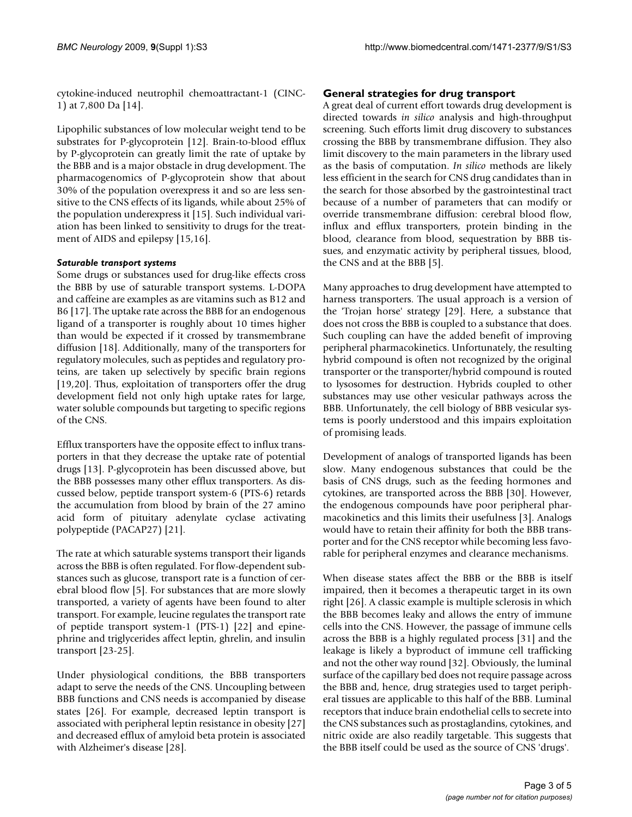cytokine-induced neutrophil chemoattractant-1 (CINC-1) at 7,800 Da [14].

Lipophilic substances of low molecular weight tend to be substrates for P-glycoprotein [12]. Brain-to-blood efflux by P-glycoprotein can greatly limit the rate of uptake by the BBB and is a major obstacle in drug development. The pharmacogenomics of P-glycoprotein show that about 30% of the population overexpress it and so are less sensitive to the CNS effects of its ligands, while about 25% of the population underexpress it [15]. Such individual variation has been linked to sensitivity to drugs for the treatment of AIDS and epilepsy [15,16].

## *Saturable transport systems*

Some drugs or substances used for drug-like effects cross the BBB by use of saturable transport systems. L-DOPA and caffeine are examples as are vitamins such as B12 and B6 [17]. The uptake rate across the BBB for an endogenous ligand of a transporter is roughly about 10 times higher than would be expected if it crossed by transmembrane diffusion [18]. Additionally, many of the transporters for regulatory molecules, such as peptides and regulatory proteins, are taken up selectively by specific brain regions [19,20]. Thus, exploitation of transporters offer the drug development field not only high uptake rates for large, water soluble compounds but targeting to specific regions of the CNS.

Efflux transporters have the opposite effect to influx transporters in that they decrease the uptake rate of potential drugs [13]. P-glycoprotein has been discussed above, but the BBB possesses many other efflux transporters. As discussed below, peptide transport system-6 (PTS-6) retards the accumulation from blood by brain of the 27 amino acid form of pituitary adenylate cyclase activating polypeptide (PACAP27) [[21\]](#page-4-0).

The rate at which saturable systems transport their ligands across the BBB is often regulated. For flow-dependent substances such as glucose, transport rate is a function of cerebral blood flow [5]. For substances that are more slowly transported, a variety of agents have been found to alter transport. For example, leucine regulates the transport rate of peptide transport system-1 (PTS-1) [22] and epinephrine and triglycerides affect leptin, ghrelin, and insulin transport [23-25].

Under physiological conditions, the BBB transporters adapt to serve the needs of the CNS. Uncoupling between BBB functions and CNS needs is accompanied by disease states [26]. For example, decreased leptin transport is associated with peripheral leptin resistance in obesity [27] and decreased efflux of amyloid beta protein is associated with Alzheimer's disease [28].

## **General strategies for drug transport**

A great deal of current effort towards drug development is directed towards *in silico* analysis and high-throughput screening. Such efforts limit drug discovery to substances crossing the BBB by transmembrane diffusion. They also limit discovery to the main parameters in the library used as the basis of computation. *In silico* methods are likely less efficient in the search for CNS drug candidates than in the search for those absorbed by the gastrointestinal tract because of a number of parameters that can modify or override transmembrane diffusion: cerebral blood flow, influx and efflux transporters, protein binding in the blood, clearance from blood, sequestration by BBB tissues, and enzymatic activity by peripheral tissues, blood, the CNS and at the BBB [5].

Many approaches to drug development have attempted to harness transporters. The usual approach is a version of the 'Trojan horse' strategy [29]. Here, a substance that does not cross the BBB is coupled to a substance that does. Such coupling can have the added benefit of improving peripheral pharmacokinetics. Unfortunately, the resulting hybrid compound is often not recognized by the original transporter or the transporter/hybrid compound is routed to lysosomes for destruction. Hybrids coupled to other substances may use other vesicular pathways across the BBB. Unfortunately, the cell biology of BBB vesicular systems is poorly understood and this impairs exploitation of promising leads.

Development of analogs of transported ligands has been slow. Many endogenous substances that could be the basis of CNS drugs, such as the feeding hormones and cytokines, are transported across the BBB [30]. However, the endogenous compounds have poor peripheral pharmacokinetics and this limits their usefulness [3]. Analogs would have to retain their affinity for both the BBB transporter and for the CNS receptor while becoming less favorable for peripheral enzymes and clearance mechanisms.

When disease states affect the BBB or the BBB is itself impaired, then it becomes a therapeutic target in its own right [26]. A classic example is multiple sclerosis in which the BBB becomes leaky and allows the entry of immune cells into the CNS. However, the passage of immune cells across the BBB is a highly regulated process [31] and the leakage is likely a byproduct of immune cell trafficking and not the other way round [32]. Obviously, the luminal surface of the capillary bed does not require passage across the BBB and, hence, drug strategies used to target peripheral tissues are applicable to this half of the BBB. Luminal receptors that induce brain endothelial cells to secrete into the CNS substances such as prostaglandins, cytokines, and nitric oxide are also readily targetable. This suggests that the BBB itself could be used as the source of CNS 'drugs'.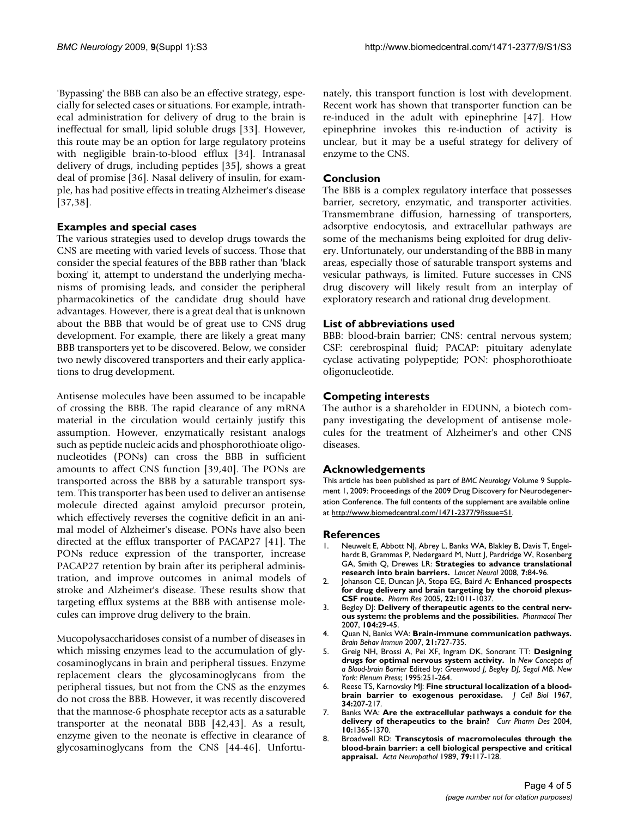'Bypassing' the BBB can also be an effective strategy, especially for selected cases or situations. For example, intrathecal administration for delivery of drug to the brain is ineffectual for small, lipid soluble drugs [33]. However, this route may be an option for large regulatory proteins with negligible brain-to-blood efflux [34]. Intranasal delivery of drugs, including peptides [35], shows a great deal of promise [36]. Nasal delivery of insulin, for example, has had positive effects in treating Alzheimer's disease [37,38].

## **Examples and special cases**

The various strategies used to develop drugs towards the CNS are meeting with varied levels of success. Those that consider the special features of the BBB rather than 'black boxing' it, attempt to understand the underlying mechanisms of promising leads, and consider the peripheral pharmacokinetics of the candidate drug should have advantages. However, there is a great deal that is unknown about the BBB that would be of great use to CNS drug development. For example, there are likely a great many BBB transporters yet to be discovered. Below, we consider two newly discovered transporters and their early applications to drug development.

Antisense molecules have been assumed to be incapable of crossing the BBB. The rapid clearance of any mRNA material in the circulation would certainly justify this assumption. However, enzymatically resistant analogs such as peptide nucleic acids and phosphorothioate oligonucleotides (PONs) can cross the BBB in sufficient amounts to affect CNS function [39,40]. The PONs are transported across the BBB by a saturable transport system. This transporter has been used to deliver an antisense molecule directed against amyloid precursor protein, which effectively reverses the cognitive deficit in an animal model of Alzheimer's disease. PONs have also been directed at the efflux transporter of PACAP27 [41]. The PONs reduce expression of the transporter, increase PACAP27 retention by brain after its peripheral administration, and improve outcomes in animal models of stroke and Alzheimer's disease. These results show that targeting efflux systems at the BBB with antisense molecules can improve drug delivery to the brain.

Mucopolysaccharidoses consist of a number of diseases in which missing enzymes lead to the accumulation of glycosaminoglycans in brain and peripheral tissues. Enzyme replacement clears the glycosaminoglycans from the peripheral tissues, but not from the CNS as the enzymes do not cross the BBB. However, it was recently discovered that the mannose-6 phosphate receptor acts as a saturable transporter at the neonatal BBB [42,43]. As a result, enzyme given to the neonate is effective in clearance of glycosaminoglycans from the CNS [44-46]. Unfortunately, this transport function is lost with development. Recent work has shown that transporter function can be re-induced in the adult with epinephrine [47]. How epinephrine invokes this re-induction of activity is unclear, but it may be a useful strategy for delivery of enzyme to the CNS.

## **Conclusion**

The BBB is a complex regulatory interface that possesses barrier, secretory, enzymatic, and transporter activities. Transmembrane diffusion, harnessing of transporters, adsorptive endocytosis, and extracellular pathways are some of the mechanisms being exploited for drug delivery. Unfortunately, our understanding of the BBB in many areas, especially those of saturable transport systems and vesicular pathways, is limited. Future successes in CNS drug discovery will likely result from an interplay of exploratory research and rational drug development.

## **List of abbreviations used**

BBB: blood-brain barrier; CNS: central nervous system; CSF: cerebrospinal fluid; PACAP: pituitary adenylate cyclase activating polypeptide; PON: phosphorothioate oligonucleotide.

## **Competing interests**

The author is a shareholder in EDUNN, a biotech company investigating the development of antisense molecules for the treatment of Alzheimer's and other CNS diseases.

### **Acknowledgements**

This article has been published as part of *BMC Neurology* Volume 9 Supplement 1, 2009: Proceedings of the 2009 Drug Discovery for Neurodegeneration Conference. The full contents of the supplement are available online at<http://www.biomedcentral.com/1471-2377/9?issue=S1>.

### **References**

- 1. Neuwelt E, Abbott NJ, Abrey L, Banks WA, Blakley B, Davis T, Engelhardt B, Grammas P, Nedergaard M, Nutt J, Pardridge W, Rosenberg GA, Smith Q, Drewes LR: **[Strategies to advance translational](http://www.ncbi.nlm.nih.gov/entrez/query.fcgi?cmd=Retrieve&db=PubMed&dopt=Abstract&list_uids=18093565) [research into brain barriers.](http://www.ncbi.nlm.nih.gov/entrez/query.fcgi?cmd=Retrieve&db=PubMed&dopt=Abstract&list_uids=18093565)** *Lancet Neurol* 2008, **7:**84-96.
- 2. Johanson CE, Duncan JA, Stopa EG, Baird A: **[Enhanced prospects](http://www.ncbi.nlm.nih.gov/entrez/query.fcgi?cmd=Retrieve&db=PubMed&dopt=Abstract&list_uids=16028003) [for drug delivery and brain targeting by the choroid plexus-](http://www.ncbi.nlm.nih.gov/entrez/query.fcgi?cmd=Retrieve&db=PubMed&dopt=Abstract&list_uids=16028003)[CSF route.](http://www.ncbi.nlm.nih.gov/entrez/query.fcgi?cmd=Retrieve&db=PubMed&dopt=Abstract&list_uids=16028003)** *Pharm Res* 2005, **22:**1011-1037.
- 3. Begley DJ: **Delivery of therapeutic agents to the central nervous system: the problems and the possibilities.** *Pharmacol Ther* 2007, **104:**29-45.
- 4. Quan N, Banks WA: **[Brain-immune communication pathways.](http://www.ncbi.nlm.nih.gov/entrez/query.fcgi?cmd=Retrieve&db=PubMed&dopt=Abstract&list_uids=17604598)** *Brain Behav Immun* 2007, **21:**727-735.
- 5. Greig NH, Brossi A, Pei XF, Ingram DK, Soncrant TT: **Designing drugs for optimal nervous system activity.** In *New Concepts of a Blood-brain Barrier* Edited by: *Greenwood J, Begley DJ, Segal MB*. *New York: Plenum Press*; 1995:251-264.
- 6. Reese TS, Karnovsky MJ: **[Fine structural localization of a blood](http://www.ncbi.nlm.nih.gov/entrez/query.fcgi?cmd=Retrieve&db=PubMed&dopt=Abstract&list_uids=6033532)[brain barrier to exogenous peroxidase.](http://www.ncbi.nlm.nih.gov/entrez/query.fcgi?cmd=Retrieve&db=PubMed&dopt=Abstract&list_uids=6033532)** *J Cell Biol* 1967, **34:**207-217.
- 7. Banks WA: **[Are the extracellular pathways a conduit for the](http://www.ncbi.nlm.nih.gov/entrez/query.fcgi?cmd=Retrieve&db=PubMed&dopt=Abstract&list_uids=15134487) [delivery of therapeutics to the brain?](http://www.ncbi.nlm.nih.gov/entrez/query.fcgi?cmd=Retrieve&db=PubMed&dopt=Abstract&list_uids=15134487)** *Curr Pharm Des* 2004, **10:**1365-1370.
- 8. Broadwell RD: **[Transcytosis of macromolecules through the](http://www.ncbi.nlm.nih.gov/entrez/query.fcgi?cmd=Retrieve&db=PubMed&dopt=Abstract&list_uids=2688350) [blood-brain barrier: a cell biological perspective and critical](http://www.ncbi.nlm.nih.gov/entrez/query.fcgi?cmd=Retrieve&db=PubMed&dopt=Abstract&list_uids=2688350) [appraisal.](http://www.ncbi.nlm.nih.gov/entrez/query.fcgi?cmd=Retrieve&db=PubMed&dopt=Abstract&list_uids=2688350)** *Acta Neuropathol* 1989, **79:**117-128.